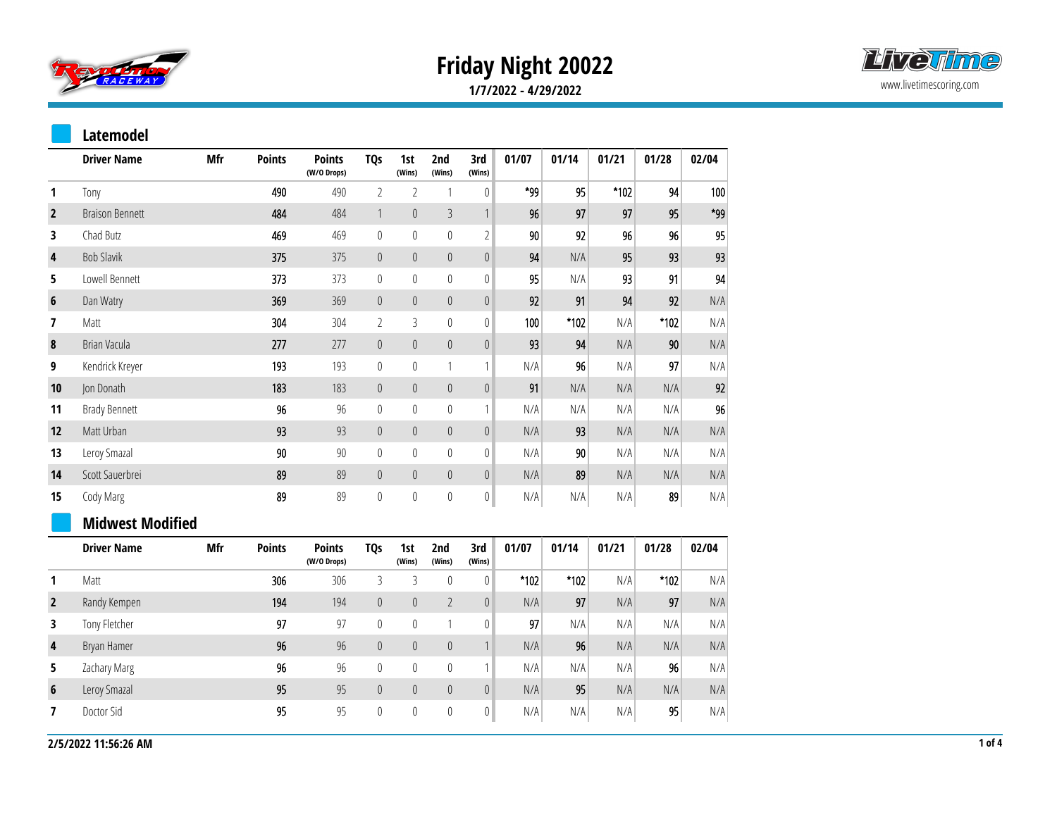

## **Friday Night 20022**



**1/7/2022 - 4/29/2022**

## **Latemodel**

|                | <b>Driver Name</b>      | Mfr | <b>Points</b> | <b>Points</b><br>(W/O Drops) | TQ <sub>S</sub>  | 1st<br>(Wins)    | 2nd<br>(Wins)  | 3rd<br>(Wins)             | 01/07  | 01/14  | 01/21 | 01/28  | 02/04 |
|----------------|-------------------------|-----|---------------|------------------------------|------------------|------------------|----------------|---------------------------|--------|--------|-------|--------|-------|
| 1              | Tony                    |     | 490           | 490                          | $\overline{2}$   | $\overline{2}$   | 1              | $\boldsymbol{0}$          | *99    | 95     | *102  | 94     | 100   |
| $\overline{2}$ | <b>Braison Bennett</b>  |     | 484           | 484                          | $\mathbf{1}$     | $\boldsymbol{0}$ | $\mathfrak{Z}$ | $\ensuremath{\mathsf{1}}$ | 96     | 97     | 97    | 95     | *99   |
| 3              | Chad Butz               |     | 469           | 469                          | $\mathbb O$      | $\mathbb O$      | $\mathbf 0$    | $\overline{2}$            | 90     | 92     | 96    | 96     | 95    |
| 4              | <b>Bob Slavik</b>       |     | 375           | 375                          | $\boldsymbol{0}$ | $\theta$         | $\mathbb O$    | $\pmb{0}$                 | 94     | N/A    | 95    | 93     | 93    |
| 5              | Lowell Bennett          |     | 373           | 373                          | $\bf{0}$         | $\boldsymbol{0}$ | $\mathbf 0$    | $\bf{0}$                  | 95     | N/A    | 93    | 91     | 94    |
| 6              | Dan Watry               |     | 369           | 369                          | $\boldsymbol{0}$ | $\boldsymbol{0}$ | $\mathbb O$    | $\boldsymbol{0}$          | 92     | 91     | 94    | 92     | N/A   |
| 7              | Matt                    |     | 304           | 304                          | $\overline{2}$   | 3                | $\mathbf 0$    | $\boldsymbol{0}$          | 100    | *102   | N/A   | $*102$ | N/A   |
| 8              | Brian Vacula            |     | 277           | 277                          | $\boldsymbol{0}$ | $\boldsymbol{0}$ | $\mathbb O$    | $\boldsymbol{0}$          | 93     | 94     | N/A   | 90     | N/A   |
| 9              | Kendrick Kreyer         |     | 193           | 193                          | $\boldsymbol{0}$ | $\mathbb O$      | 1              | $\mathbf{1}$              | N/A    | 96     | N/A   | 97     | N/A   |
| 10             | Jon Donath              |     | 183           | 183                          | $\boldsymbol{0}$ | $\boldsymbol{0}$ | $\mathbb O$    | $\boldsymbol{0}$          | 91     | N/A    | N/A   | N/A    | 92    |
| 11             | <b>Brady Bennett</b>    |     | 96            | 96                           | $\boldsymbol{0}$ | $\mathbb O$      | $\mathbb O$    | $\mathbf{1}$              | N/A    | N/A    | N/A   | N/A    | 96    |
| 12             | Matt Urban              |     | 93            | 93                           | $\pmb{0}$        | $\boldsymbol{0}$ | $\pmb{0}$      | $\boldsymbol{0}$          | N/A    | 93     | N/A   | N/A    | N/A   |
| 13             | Leroy Smazal            |     | 90            | 90                           | $\bf{0}$         | $\boldsymbol{0}$ | $\mathbb O$    | $\bf{0}$                  | N/A    | 90     | N/A   | N/A    | N/A   |
| 14             | Scott Sauerbrei         |     | 89            | 89                           | $\boldsymbol{0}$ | $\mathbb O$      | $\mathbb O$    | $\mathbb O$               | N/A    | 89     | N/A   | N/A    | N/A   |
| 15             | Cody Marg               |     | 89            | 89                           | $\boldsymbol{0}$ | $\mathbb O$      | $\mathbf 0$    | $\boldsymbol{0}$          | N/A    | N/A    | N/A   | 89     | N/A   |
|                | <b>Midwest Modified</b> |     |               |                              |                  |                  |                |                           |        |        |       |        |       |
|                | <b>Driver Name</b>      | Mfr | <b>Points</b> | <b>Points</b><br>(W/O Drops) | <b>TQs</b>       | 1st<br>(Wins)    | 2nd<br>(Wins)  | 3rd<br>(Wins)             | 01/07  | 01/14  | 01/21 | 01/28  | 02/04 |
| 1              | Matt                    |     | 306           | 306                          | 3                | 3                | $\bf{0}$       | 0                         | $*102$ | $*102$ | N/A   | $*102$ | N/A   |
| $\overline{2}$ | Randy Kempen            |     | 194           | 194                          | $\boldsymbol{0}$ | $\mathbb O$      | $\overline{2}$ | $\boldsymbol{0}$          | N/A    | 97     | N/A   | 97     | N/A   |
| 3              | Tony Fletcher           |     | 97            | 97                           | $\boldsymbol{0}$ | $\mathbb O$      | 1              | $\bf{0}$                  | 97     | N/A    | N/A   | N/A    | N/A   |
| 4              | Bryan Hamer             |     | 96            | 96                           | $\theta$         | $\theta$         | $\mathbb O$    | $\mathbf{1}$              | N/A    | 96     | N/A   | N/A    | N/A   |
| 5              | Zachary Marg            |     | 96            | 96                           | $\boldsymbol{0}$ | $\mathbb O$      | $\mathbb O$    | $\mathbf{1}$              | N/A    | N/A    | N/A   | 96     | N/A   |
| 6              | Leroy Smazal            |     | 95            | 95                           | $\pmb{0}$        | $\theta$         | $\pmb{0}$      | $\theta$                  | N/A    | 95     | N/A   | N/A    | N/A   |
| 7              | Doctor Sid              |     | 95            | 95                           | $\boldsymbol{0}$ | $\boldsymbol{0}$ | $\mathbf 0$    | $\boldsymbol{0}$          | N/A    | N/A    | N/A   | 95     | N/A   |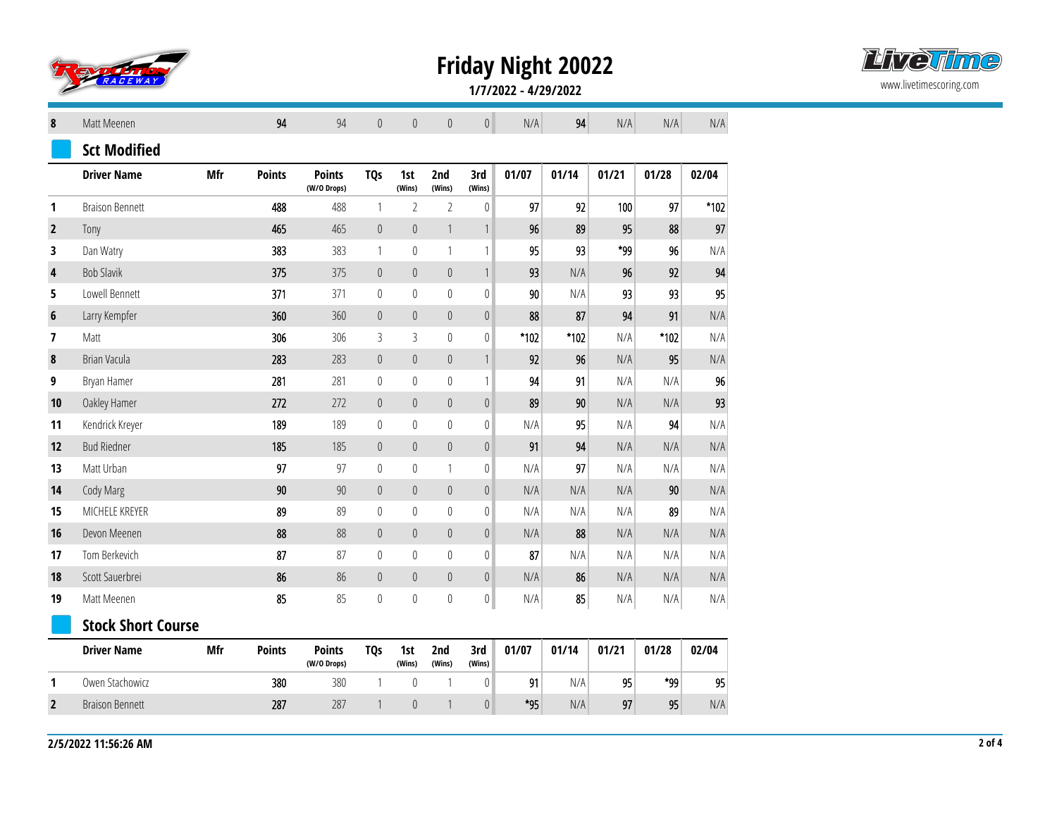

**Friday Night 20022**



**1/7/2022 - 4/29/2022**

| 8              | Matt Meenen               |     | 94            | 94                           | $\theta$         | $\theta$         | $\pmb{0}$                 | $\mathbf 0$               | N/A    | 94     | N/A   | N/A    | N/A                     |
|----------------|---------------------------|-----|---------------|------------------------------|------------------|------------------|---------------------------|---------------------------|--------|--------|-------|--------|-------------------------|
|                | <b>Sct Modified</b>       |     |               |                              |                  |                  |                           |                           |        |        |       |        |                         |
|                | <b>Driver Name</b>        | Mfr | <b>Points</b> | <b>Points</b><br>(W/O Drops) | <b>TQs</b>       | 1st<br>(Wins)    | 2nd<br>(Wins)             | 3rd<br>(Wins)             | 01/07  | 01/14  | 01/21 | 01/28  | 02/04                   |
| 1              | <b>Braison Bennett</b>    |     | 488           | 488                          | $\mathbf{1}$     | $\overline{2}$   | $\overline{2}$            | $\pmb{0}$                 | 97     | 92     | 100   | 97     | $*102$                  |
| $\overline{2}$ | Tony                      |     | 465           | 465                          | $\boldsymbol{0}$ | $\mathbf 0$      | $\ensuremath{\mathsf{1}}$ | $\ensuremath{\mathsf{1}}$ | 96     | 89     | 95    | 88     | 97                      |
| 3              | Dan Watry                 |     | 383           | 383                          | $\mathbf{1}$     | $\mathbb O$      | $\mathbf{1}$              | 1                         | 95     | 93     | *99   | 96     | N/A                     |
| 4              | <b>Bob Slavik</b>         |     | 375           | 375                          | $\boldsymbol{0}$ | $\mathbf 0$      | $\mathbb O$               | $\mathbf{1}$              | 93     | N/A    | 96    | 92     | 94                      |
| 5              | Lowell Bennett            |     | 371           | 371                          | $\mathbf{0}$     | $\mathbf{0}$     | $\mathbf 0$               | $\bf{0}$                  | 90     | N/A    | 93    | 93     | 95                      |
| 6              | Larry Kempfer             |     | 360           | 360                          | $\boldsymbol{0}$ | $\mathbf 0$      | $\mathbb O$               | $\boldsymbol{0}$          | 88     | 87     | 94    | 91     | N/A                     |
| 7              | Matt                      |     | 306           | 306                          | $\mathfrak{Z}$   | $\overline{3}$   | $\mathbb O$               | $\mathbb O$               | $*102$ | $*102$ | N/A   | $*102$ | N/A                     |
| 8              | Brian Vacula              |     | 283           | 283                          | $\boldsymbol{0}$ | $\mathbf 0$      | $\mathbb O$               | $\mathbf{1}$              | 92     | 96     | N/A   | 95     | N/A                     |
| 9              | Bryan Hamer               |     | 281           | 281                          | $\boldsymbol{0}$ | $\mathbf 0$      | $\mathbb O$               | 1                         | 94     | 91     | N/A   | N/A    | 96                      |
| 10             | Oakley Hamer              |     | 272           | 272                          | $\boldsymbol{0}$ | $\mathbb O$      | $\mathbb O$               | $\pmb{0}$                 | 89     | 90     | N/A   | N/A    | 93                      |
| 11             | Kendrick Kreyer           |     | 189           | 189                          | $\boldsymbol{0}$ | $\pmb{0}$        | $\mathbf 0$               | $\boldsymbol{0}$          | N/A    | 95     | N/A   | 94     | N/A                     |
| 12             | <b>Bud Riedner</b>        |     | 185           | 185                          | $\boldsymbol{0}$ | $\mathbf 0$      | $\mathbf 0$               | $\pmb{0}$                 | 91     | 94     | N/A   | N/A    | N/A                     |
| 13             | Matt Urban                |     | 97            | 97                           | $\boldsymbol{0}$ | $\pmb{0}$        | $\mathbf{1}$              | $\boldsymbol{0}$          | N/A    | 97     | N/A   | N/A    | N/A                     |
| 14             | Cody Marg                 |     | 90            | 90                           | $\boldsymbol{0}$ | $\boldsymbol{0}$ | $\boldsymbol{0}$          | $\boldsymbol{0}$          | N/A    | N/A    | N/A   | 90     | N/A                     |
| 15             | MICHELE KREYER            |     | 89            | 89                           | $\boldsymbol{0}$ | $\mathbf 0$      | $\mathbf 0$               | $\mathbf 0$               | N/A    | N/A    | N/A   | 89     | N/A                     |
| 16             | Devon Meenen              |     | 88            | 88                           | $\boldsymbol{0}$ | $\mathbb O$      | $\mathbf 0$               | $\mathbb O$               | N/A    | 88     | N/A   | N/A    | N/A                     |
| 17             | Tom Berkevich             |     | 87            | 87                           | $\boldsymbol{0}$ | $\pmb{0}$        | $\mathbf 0$               | $\boldsymbol{0}$          | 87     | N/A    | N/A   | N/A    | N/A                     |
| 18             | Scott Sauerbrei           |     | 86            | 86                           | $\pmb{0}$        | $\theta$         | $\mathbf 0$               | $\mathbf 0$               | N/A    | 86     | N/A   | N/A    | N/A                     |
| 19             | Matt Meenen               |     | 85            | 85                           | $\boldsymbol{0}$ | $\mathbb{0}$     | $\mathbf 0$               | $\boldsymbol{0}$          | N/A    | 85     | N/A   | N/A    | $\mathsf{N}/\mathsf{A}$ |
|                | <b>Stock Short Course</b> |     |               |                              |                  |                  |                           |                           |        |        |       |        |                         |
|                | <b>Driver Name</b>        | Mfr | <b>Points</b> | <b>Points</b><br>(W/O Drops) | <b>TQs</b>       | 1st<br>(Wins)    | 2nd<br>(Wins)             | 3rd<br>(Wins)             | 01/07  | 01/14  | 01/21 | 01/28  | 02/04                   |
| 1              | Owen Stachowicz           |     | 380           | 380                          | $\mathbbm{1}$    | $\mathbf 0$      | 1                         | 0                         | 91     | N/A    | 95    | *99    | 95                      |
| $\overline{2}$ | <b>Braison Bennett</b>    |     | 287           | 287                          | $\mathbf{1}$     | $\mathbf 0$      | $\mathbf{1}$              | $\mathbb O$               | *95    | N/A    | 97    | 95     | N/A                     |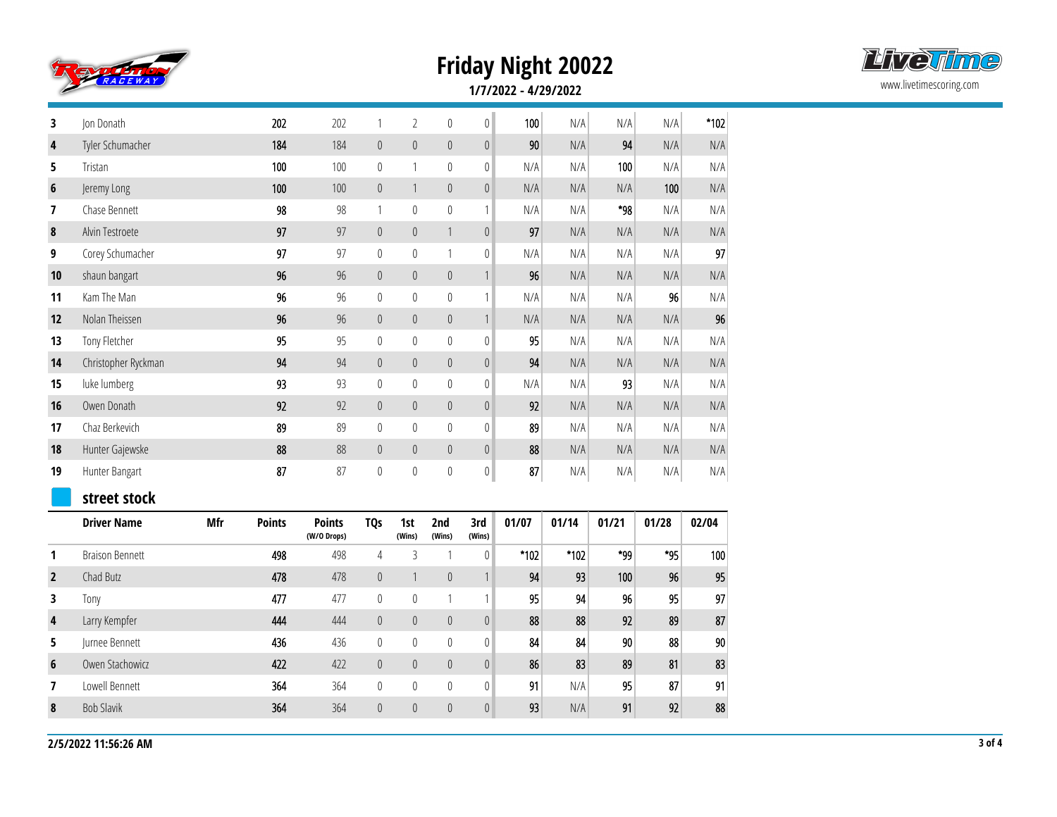

## **Friday Night 20022**



**1/7/2022 - 4/29/2022**

| 3              | Jon Donath             |            | 202           | 202                          | 1                | $\overline{2}$   | 0                         | $\pmb{0}$        | 100    | N/A   | N/A   | N/A   | *102  |
|----------------|------------------------|------------|---------------|------------------------------|------------------|------------------|---------------------------|------------------|--------|-------|-------|-------|-------|
| 4              | Tyler Schumacher       |            | 184           | 184                          | $\mathbb O$      | $\mathbb O$      | $\mathbb O$               | $\mathbf 0$      | 90     | N/A   | 94    | N/A   | N/A   |
| 5              | Tristan                |            | 100           | 100                          | $\boldsymbol{0}$ | $\mathbf{1}$     | $\mathbf 0$               | $\boldsymbol{0}$ | N/A    | N/A   | 100   | N/A   | N/A   |
| $6\phantom{1}$ | Jeremy Long            |            | 100           | 100                          | $\mathbf 0$      | $\mathbf{1}$     | $\mathbb O$               | $\overline{0}$   | N/A    | N/A   | N/A   | 100   | N/A   |
| 7              | Chase Bennett          |            | 98            | 98                           | 1                | $\pmb{0}$        | $\mathbf 0$               | 1                | N/A    | N/A   | *98   | N/A   | N/A   |
| 8              | Alvin Testroete        |            | 97            | 97                           | $\mathbb O$      | $\boldsymbol{0}$ | $\ensuremath{\mathsf{1}}$ | $\mathbf 0$      | 97     | N/A   | N/A   | N/A   | N/A   |
| 9              | Corey Schumacher       |            | 97            | 97                           | $\boldsymbol{0}$ | $\mathbf 0$      | $\mathbf{1}$              | $\boldsymbol{0}$ | N/A    | N/A   | N/A   | N/A   | 97    |
| 10             | shaun bangart          |            | 96            | 96                           | $\mathbb O$      | $\mathbb O$      | $\boldsymbol{0}$          | $\mathbf{1}$     | 96     | N/A   | N/A   | N/A   | N/A   |
| 11             | Kam The Man            |            | 96            | 96                           | $\mathbf 0$      | $\mathbf 0$      | $\mathbf 0$               | 1                | N/A    | N/A   | N/A   | 96    | N/A   |
| 12             | Nolan Theissen         |            | 96            | 96                           | $\mathbb O$      | $\mathbf 0$      | $\mathbb O$               | $\mathbbm{1}$    | N/A    | N/A   | N/A   | N/A   | 96    |
| 13             | Tony Fletcher          |            | 95            | 95                           | $\boldsymbol{0}$ | $\pmb{0}$        | $\mathbf 0$               | $\pmb{0}$        | 95     | N/A   | N/A   | N/A   | N/A   |
| 14             | Christopher Ryckman    |            | 94            | 94                           | $\boldsymbol{0}$ | $\mathbb O$      | $\mathbb O$               | $\mathbf 0$      | 94     | N/A   | N/A   | N/A   | N/A   |
| 15             | luke lumberg           |            | 93            | 93                           | $\mathbb O$      | $\mathbf 0$      | $\boldsymbol{0}$          | $\boldsymbol{0}$ | N/A    | N/A   | 93    | N/A   | N/A   |
| 16             | Owen Donath            |            | 92            | 92                           | $\mathbb O$      | $\mathbf 0$      | $\mathbb O$               | $\mathbf 0$      | 92     | N/A   | N/A   | N/A   | N/A   |
| 17             | Chaz Berkevich         |            | 89            | 89                           | $\boldsymbol{0}$ | $\pmb{0}$        | $\mathbf 0$               | $\boldsymbol{0}$ | 89     | N/A   | N/A   | N/A   | N/A   |
| 18             | Hunter Gajewske        |            | 88            | 88                           | $\theta$         | $\mathbb O$      | $\mathbf 0$               | $\mathbf 0$      | 88     | N/A   | N/A   | N/A   | N/A   |
| 19             | Hunter Bangart         |            | 87            | 87                           | $\pmb{0}$        | $\pmb{0}$        | $\boldsymbol{0}$          | $\mathbf 0$      | 87     | N/A   | N/A   | N/A   | N/A   |
|                | street stock           |            |               |                              |                  |                  |                           |                  |        |       |       |       |       |
|                | <b>Driver Name</b>     | <b>Mfr</b> | <b>Points</b> | <b>Points</b><br>(W/O Drops) | <b>TQs</b>       | 1st<br>(Wins)    | 2nd<br>(Wins)             | 3rd<br>(Wins)    | 01/07  | 01/14 | 01/21 | 01/28 | 02/04 |
| 1              | <b>Braison Bennett</b> |            | 498           | 498                          | $\overline{4}$   | $\overline{3}$   | $\mathbf{1}$              | $\pmb{0}$        | $*102$ | *102  | *99   | *95   | 100   |
| $\mathbf{2}$   | Chad Butz              |            | 478           | 478                          | $\mathbf 0$      | $\mathbf{1}$     | $\mathbb O$               | 1                | 94     | 93    | 100   | 96    | 95    |
| 3              | Tony                   |            | 477           | 477                          | $\boldsymbol{0}$ | $\mathbf 0$      | $\mathbb{1}$              | 1                | 95     | 94    | 96    | 95    | 97    |
| 4              | Larry Kempfer          |            | 444           | 444                          | $\mathbf 0$      | $\mathbf 0$      | $\mathbb O$               | $\boldsymbol{0}$ | 88     | 88    | 92    | 89    | 87    |
| 5              | Jurnee Bennett         |            | 436           | 436                          | $\pmb{0}$        | $\pmb{0}$        | $\mathbb O$               | $\boldsymbol{0}$ | 84     | 84    | 90    | 88    | 90    |
| 6              | Owen Stachowicz        |            | 422           | 422                          | $\mathbb O$      | $\mathbb O$      | $\boldsymbol{0}$          | $\mathbf 0$      | 86     | 83    | 89    | 81    | 83    |
| 7              | Lowell Bennett         |            | 364           | 364                          | $\boldsymbol{0}$ | $\mathbf 0$      | $\mathbf 0$               | $\boldsymbol{0}$ | 91     | N/A   | 95    | 87    | 91    |
| 8              | <b>Bob Slavik</b>      |            | 364           | 364                          | $\boldsymbol{0}$ | $\boldsymbol{0}$ | $\pmb{0}$                 | $\boldsymbol{0}$ | 93     | N/A   | 91    | 92    | 88    |